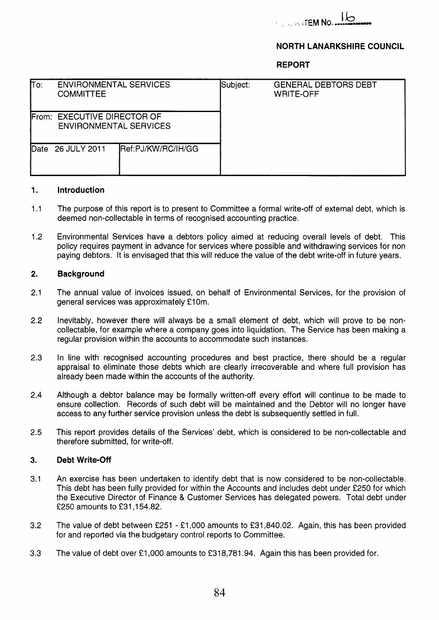

## **NORTH LANARKSHIRE COUNCIL**

**REPORT** 

| $\overline{\text{To:}}$ | <b>ENVIRONMENTAL SERVICES</b><br><b>COMMITTEE</b>            |                            | Subject: | <b>GENERAL DEBTORS DEBT</b><br><b>WRITE-OFF</b> |
|-------------------------|--------------------------------------------------------------|----------------------------|----------|-------------------------------------------------|
|                         | From: EXECUTIVE DIRECTOR OF<br><b>ENVIRONMENTAL SERVICES</b> |                            |          |                                                 |
| Date                    | 26 JULY 2011                                                 | <b>IRef:PJ/KW/RC/IH/GG</b> |          |                                                 |

#### **1. Introduction**

- **<sup>1</sup>**.I The purpose of this report is to present to Committee a formal write-off of external debt, which is deemed non-collectable in terms of recognised accounting practice.
- **1.2**  Environmental Services have a debtors policy aimed at reducing overall levels of debt. This policy requires payment in advance for services where possible and withdrawing services for non paying debtors. It is envisaged that this will reduce the value of the debt write-off in future years.

#### **2. Background**

- **2.1**  The annual value of invoices issued, on behalf of Environmental Services, for the provision of general services was approximately **€1** Om.
- **2.2**  Inevitably, however there will always be a small element of debt, which will prove to be noncollectable, for example where a company goes into liquidation. The Service has been making a regular provision within the accounts to accommodate such instances.
- **2.3**  In line with recognised accounting procedures and best practice, there should be a regular appraisal to eliminate those debts which are clearly irrecoverable and where full provision has already been made within the accounts of the authority.
- **2.4**  Although a debtor balance may be formally written-off every effort will continue to be made to ensure collection. Records of such debt will be maintained and the Debtor will no longer have access to any further service provision unless the debt is subsequently settled in full.
- **2.5**  This report provides details of the Services' debt, which is considered to be non-collectable and therefore submitted, for write-off.

#### **3. Debt Write-off**

- **3.1**  An exercise has been undertaken to identify debt that is now considered to be non-collectable. This debt has been fully provided for within the Accounts and includes debt under **€250** for which the Executive Director of Finance & Customer Services has delegated powers. Total debt under **f250** amounts to **f31,154.82.**
- **3.2**  The value of debt between **€251** - **€1,000** amounts to **€31,840.02.** Again, this has been provided for and reported via the budgetary control reports to Committee.
- **3.3**  The value of debt over £1,000 amounts to £318,781.94. Again this has been provided for.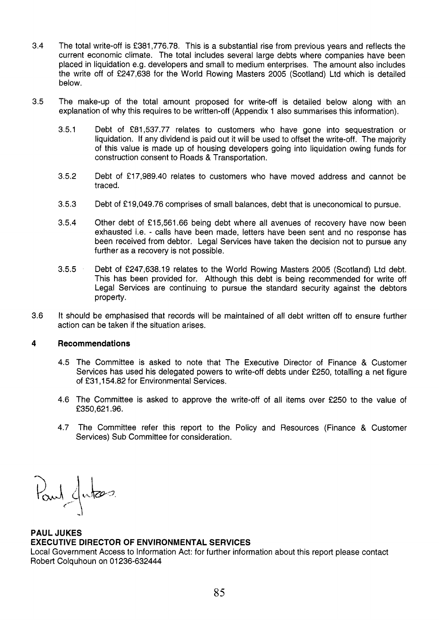- **3.4** The total write-off is **€381,776.78.** This is a substantial rise from previous years and reflects the current economic climate. The total includes several large debts where companies have been placed in liquidation e.g. developers and small to medium enterprises. The amount also includes the write off of **€247,638** for the World Rowing Masters **2005** (Scotland) Ltd which is detailed below.
- **3.5** The make-up of the total amount proposed for write-off is detailed below along with an explanation of why this requires to be written-off (Appendix 1 also summarises this information).
	- **3.5.1** Debt of **€81,537.77** relates to customers who have gone into sequestration or liquidation. If any dividend is paid out it will be used to offset the write-off. The majority of this value is made up of housing developers going into liquidation owing funds for construction consent to Roads & Transportation.
	- **3.5.2** Debt of **€17,989.40** relates to customers who have moved address and cannot be traced.
	- **3.5.3** Debt of €1 **9,049.76** comprises of small balances, debt that is uneconomical to pursue.
	- **3.5.4** Other debt of **f 15,561.66** being debt where all avenues of recovery have now been exhausted i.e. - calls have been made, letters have been sent and no response has been received from debtor. Legal Services have taken the decision not to pursue any further as a recovery is not possible.
	- **3.5.5** Debt of **f247,638.19** relates to the World Rowing Masters **2005** (Scotland) Ltd debt. This has been provided for. Although this debt is being recommended for write off Legal Services are continuing to pursue the standard security against the debtors property.
- **3.6** It should be emphasised that records will be maintained of all debt written off to ensure further action can be taken if the situation arises.

### **4 Recommendations**

- **4.5** The Committee is asked to note that The Executive Director of Finance & Customer Services has used his delegated powers to write-off debts under **€250,** totalling a net figure of **€31,154.82** for Environmental Services.
- **4.6** The Committee is asked to approve the write-off of all items over **€250** to the value of **€350,621.96.**
- **4.7** The Committee refer this report to the Policy and Resources (Finance & Customer Services) Sub Committee for consideration.

Paul Jutas

## **PAUL JUKES EXECUTIVE DIRECTOR OF ENVIRONMENTAL SERVICES**

Local Government Access to Information Act: for further information about this report please contact Robert Colquhoun on **01236-632444**